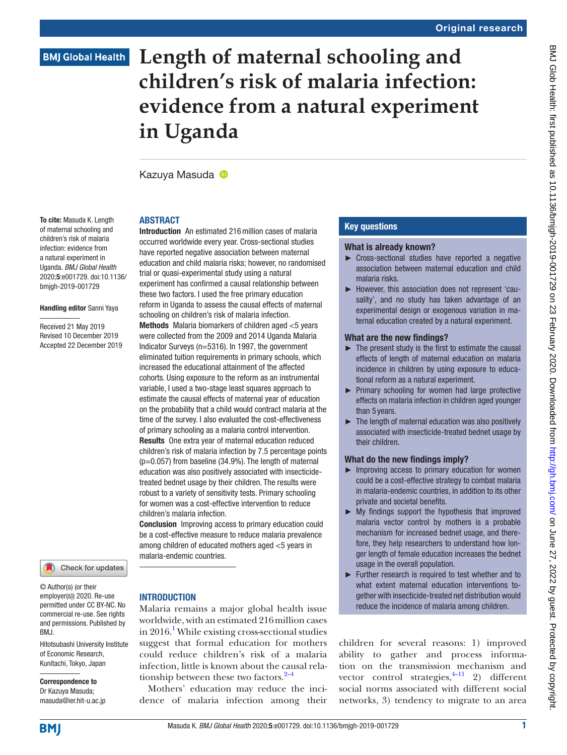# **Length of maternal schooling and children's risk of malaria infection: evidence from a natural experiment in Uganda**

Kazuva Masuda <sup>®</sup>

occurred worldwide every year. Cross-sectional studies have reported negative association between maternal education and child malaria risks; however, no randomised

trial or quasi-experimental study using a natural experiment has confirmed a causal relationship between these two factors. I used the free primary education reform in Uganda to assess the causal effects of maternal

schooling on children's risk of malaria infection. Methods Malaria biomarkers of children aged <5 years were collected from the 2009 and 2014 Uganda Malaria Indicator Surveys (n=5316). In 1997, the government eliminated tuition requirements in primary schools, which increased the educational attainment of the affected cohorts. Using exposure to the reform as an instrumental variable, I used a two-stage least squares approach to estimate the causal effects of maternal year of education on the probability that a child would contract malaria at the time of the survey. I also evaluated the cost-effectiveness of primary schooling as a malaria control intervention. Results One extra year of maternal education reduced children's risk of malaria infection by 7.5 percentage points  $(p=0.057)$  from baseline (34.9%). The length of maternal education was also positively associated with insecticidetreated bednet usage by their children. The results were robust to a variety of sensitivity tests. Primary schooling for women was a cost-effective intervention to reduce

#### **ABSTRACT** Introduction An estimated 216million cases of malaria

To cite: Masuda K. Length of maternal schooling and children's risk of malaria infection: evidence from a natural experiment in Uganda. *BMJ Global Health* 2020;5:e001729. doi:10.1136/ bmjgh-2019-001729

#### Handling editor Sanni Yaya

Received 21 May 2019 Revised 10 December 2019 Accepted 22 December 2019



© Author(s) (or their employer(s)) 2020. Re-use permitted under CC BY-NC. No commercial re-use. See rights and permissions. Published by BMJ.

Hitotsubashi University Institute of Economic Research, Kunitachi, Tokyo, Japan

Correspondence to Dr Kazuya Masuda; masuda@ier.hit-u.ac.jp

# **INTRODUCTION**

children's malaria infection.

malaria-endemic countries.

Malaria remains a major global health issue worldwide, with an estimated 216million cases in  $2016$  $2016$  $2016$ .<sup>1</sup> While existing cross-sectional studies suggest that formal education for mothers could reduce children's risk of a malaria infection, little is known about the causal relationship between these two factors. $2-4$ 

Conclusion Improving access to primary education could be a cost-effective measure to reduce malaria prevalence among children of educated mothers aged <5 years in

Mothers' education may reduce the incidence of malaria infection among their

# Key questions

#### What is already known?

- ► Cross-sectional studies have reported a negative association between maternal education and child malaria risks.
- ► However, this association does not represent 'causality', and no study has taken advantage of an experimental design or exogenous variation in maternal education created by a natural experiment.

#### What are the new findings?

- $\blacktriangleright$  The present study is the first to estimate the causal effects of length of maternal education on malaria incidence in children by using exposure to educational reform as a natural experiment.
- ► Primary schooling for women had large protective effects on malaria infection in children aged younger than 5 years.
- $\blacktriangleright$  The length of maternal education was also positively associated with insecticide-treated bednet usage by their children.

### What do the new findings imply?

- ► Improving access to primary education for women could be a cost-effective strategy to combat malaria in malaria-endemic countries, in addition to its other private and societal benefits.
- ► My findings support the hypothesis that improved malaria vector control by mothers is a probable mechanism for increased bednet usage, and therefore, they help researchers to understand how longer length of female education increases the bednet usage in the overall population.
- ► Further research is required to test whether and to what extent maternal education interventions together with insecticide-treated net distribution would reduce the incidence of malaria among children.

children for several reasons: 1) improved ability to gather and process information on the transmission mechanism and vector control strategies, $4-11$  2) different social norms associated with different social networks, 3) tendency to migrate to an area

**BMI**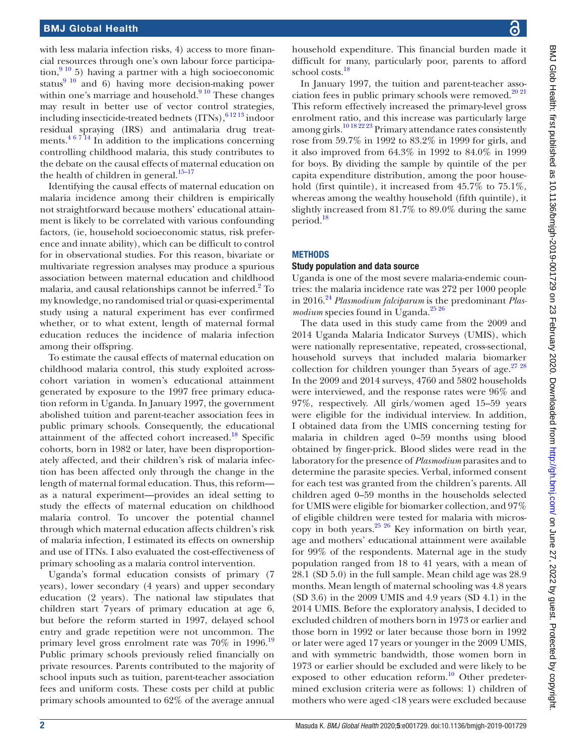with less malaria infection risks, 4) access to more financial resources through one's own labour force participation, $910$  5) having a partner with a high socioeconomic status $910$  and 6) having more decision-making power within one's marriage and household.<sup>9 10</sup> These changes may result in better use of vector control strategies, including insecticide-treated bednets  $(ITNs)$ ,  $61213$  indoor residual spraying (IRS) and antimalaria drug treatments. $46714$  In addition to the implications concerning controlling childhood malaria, this study contributes to the debate on the causal effects of maternal education on the health of children in general.<sup>15-17</sup>

Identifying the causal effects of maternal education on malaria incidence among their children is empirically not straightforward because mothers' educational attainment is likely to be correlated with various confounding factors, (ie, household socioeconomic status, risk preference and innate ability), which can be difficult to control for in observational studies. For this reason, bivariate or multivariate regression analyses may produce a spurious association between maternal education and childhood malaria, and causal relationships cannot be inferred.<sup>2</sup> To my knowledge, no randomised trial or quasi-experimental study using a natural experiment has ever confirmed whether, or to what extent, length of maternal formal education reduces the incidence of malaria infection among their offspring.

To estimate the causal effects of maternal education on childhood malaria control, this study exploited acrosscohort variation in women's educational attainment generated by exposure to the 1997 free primary education reform in Uganda. In January 1997, the government abolished tuition and parent-teacher association fees in public primary schools. Consequently, the educational attainment of the affected cohort increased.<sup>18</sup> Specific cohorts, born in 1982 or later, have been disproportionately affected, and their children's risk of malaria infection has been affected only through the change in the length of maternal formal education. Thus, this reform as a natural experiment—provides an ideal setting to study the effects of maternal education on childhood malaria control. To uncover the potential channel through which maternal education affects children's risk of malaria infection, I estimated its effects on ownership and use of ITNs. I also evaluated the cost-effectiveness of primary schooling as a malaria control intervention.

Uganda's formal education consists of primary (7 years), lower secondary (4 years) and upper secondary education (2 years). The national law stipulates that children start 7years of primary education at age 6, but before the reform started in 1997, delayed school entry and grade repetition were not uncommon. The primary level gross enrolment rate was 70% in [19](#page-10-2)96.<sup>19</sup> Public primary schools previously relied financially on private resources. Parents contributed to the majority of school inputs such as tuition, parent-teacher association fees and uniform costs. These costs per child at public primary schools amounted to 62% of the average annual

BMJ Glob Health: first published as 10.1136/bmjgh-2019-001729 on 23 February 2020. Downloaded from http://gh.bmj.com/ on June 27, 2022 by guest. Protected by copyright BMJ Glob Health: first published as 10.1136/bmjgh-2019-001729 on 22. February 2020. Downloaded from <http://gh.bmj.com/> on June 27, 2022 by guest. Protected by copyright

household expenditure. This financial burden made it difficult for many, particularly poor, parents to afford school costs.<sup>[18](#page-10-1)</sup>

In January 1997, the tuition and parent-teacher asso-ciation fees in public primary schools were removed.<sup>[20 21](#page-10-3)</sup> This reform effectively increased the primary-level gross enrolment ratio, and this increase was particularly large among girls.<sup>10 18 22 23</sup> Primary attendance rates consistently rose from 59.7% in 1992 to 83.2% in 1999 for girls, and it also improved from 64.3% in 1992 to 84.0% in 1999 for boys. By dividing the sample by quintile of the per capita expenditure distribution, among the poor household (first quintile), it increased from 45.7% to 75.1%, whereas among the wealthy household (fifth quintile), it slightly increased from 81.7% to 89.0% during the same period[.18](#page-10-1)

# **METHODS**

## Study population and data source

Uganda is one of the most severe malaria-endemic countries: the malaria incidence rate was 272 per 1000 people in 2016.[24](#page-10-4) *Plasmodium falciparum* is the predominant *Plasmodium* species found in Uganda.<sup>25</sup><sup>26</sup>

The data used in this study came from the 2009 and 2014 Uganda Malaria Indicator Surveys (UMIS), which were nationally representative, repeated, cross-sectional, household surveys that included malaria biomarker collection for children younger than 5 years of age.<sup>[27 28](#page-10-6)</sup> In the 2009 and 2014 surveys, 4760 and 5802 households were interviewed, and the response rates were 96% and 97%, respectively. All girls/women aged 15–59 years were eligible for the individual interview. In addition, I obtained data from the UMIS concerning testing for malaria in children aged 0–59 months using blood obtained by finger-prick. Blood slides were read in the laboratory for the presence of *Plasmodium* parasites and to determine the parasite species. Verbal, informed consent for each test was granted from the children's parents. All children aged 0–59 months in the households selected for UMIS were eligible for biomarker collection, and 97% of eligible children were tested for malaria with micros-copy in both years.<sup>[25 26](#page-10-5)</sup> Key information on birth year, age and mothers' educational attainment were available for 99% of the respondents. Maternal age in the study population ranged from 18 to 41 years, with a mean of 28.1 (SD 5.0) in the full sample. Mean child age was 28.9 months. Mean length of maternal schooling was 4.8 years (SD 3.6) in the 2009 UMIS and 4.9 years (SD 4.1) in the 2014 UMIS. Before the exploratory analysis, I decided to excluded children of mothers born in 1973 or earlier and those born in 1992 or later because those born in 1992 or later were aged 17 years or younger in the 2009 UMIS, and with symmetric bandwidth, those women born in 1973 or earlier should be excluded and were likely to be exposed to other education reform.<sup>10</sup> Other predetermined exclusion criteria were as follows: 1) children of mothers who were aged <18 years were excluded because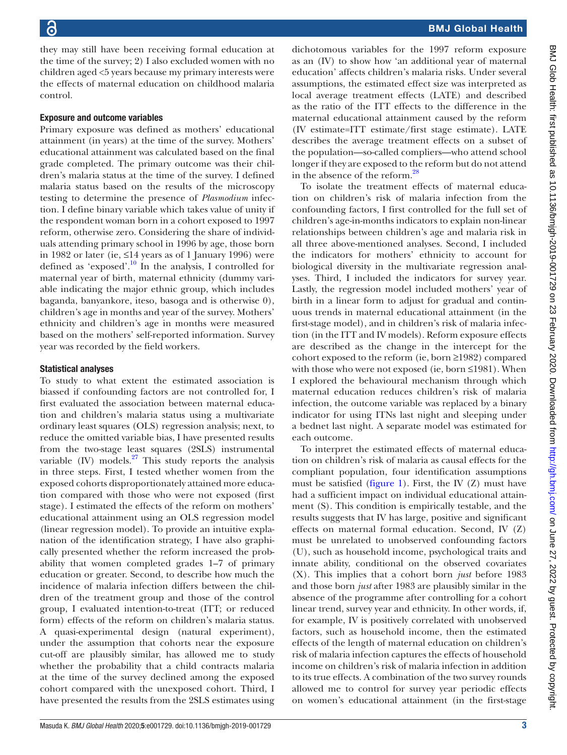they may still have been receiving formal education at the time of the survey; 2) I also excluded women with no children aged <5 years because my primary interests were the effects of maternal education on childhood malaria control.

#### Exposure and outcome variables

Primary exposure was defined as mothers' educational attainment (in years) at the time of the survey. Mothers' educational attainment was calculated based on the final grade completed. The primary outcome was their children's malaria status at the time of the survey. I defined malaria status based on the results of the microscopy testing to determine the presence of *Plasmodium* infection. I define binary variable which takes value of unity if the respondent woman born in a cohort exposed to 1997 reform, otherwise zero. Considering the share of individuals attending primary school in 1996 by age, those born in 1982 or later (ie, ≤14 years as of 1 January 1996) were defined as 'exposed'.[10](#page-9-5) In the analysis, I controlled for maternal year of birth, maternal ethnicity (dummy variable indicating the major ethnic group, which includes baganda, banyankore, iteso, basoga and is otherwise 0), children's age in months and year of the survey. Mothers' ethnicity and children's age in months were measured based on the mothers' self-reported information. Survey year was recorded by the field workers.

#### Statistical analyses

To study to what extent the estimated association is biassed if confounding factors are not controlled for, I first evaluated the association between maternal education and children's malaria status using a multivariate ordinary least squares (OLS) regression analysis; next, to reduce the omitted variable bias, I have presented results from the two-stage least squares (2SLS) instrumental variable  $(IV)$  models.<sup>27</sup> This study reports the analysis in three steps. First, I tested whether women from the exposed cohorts disproportionately attained more education compared with those who were not exposed (first stage). I estimated the effects of the reform on mothers' educational attainment using an OLS regression model (linear regression model). To provide an intuitive explanation of the identification strategy, I have also graphically presented whether the reform increased the probability that women completed grades 1–7 of primary education or greater. Second, to describe how much the incidence of malaria infection differs between the children of the treatment group and those of the control group, I evaluated intention-to-treat (ITT; or reduced form) effects of the reform on children's malaria status. A quasi-experimental design (natural experiment), under the assumption that cohorts near the exposure cut-off are plausibly similar, has allowed me to study whether the probability that a child contracts malaria at the time of the survey declined among the exposed cohort compared with the unexposed cohort. Third, I have presented the results from the 2SLS estimates using

dichotomous variables for the 1997 reform exposure as an (IV) to show how 'an additional year of maternal education' affects children's malaria risks. Under several assumptions, the estimated effect size was interpreted as local average treatment effects (LATE) and described as the ratio of the ITT effects to the difference in the maternal educational attainment caused by the reform (IV estimate=ITT estimate/first stage estimate). LATE describes the average treatment effects on a subset of the population—so-called compliers—who attend school longer if they are exposed to the reform but do not attend in the absence of the reform[.28](#page-10-7)

To isolate the treatment effects of maternal education on children's risk of malaria infection from the confounding factors, I first controlled for the full set of children's age-in-months indicators to explain non-linear relationships between children's age and malaria risk in all three above-mentioned analyses. Second, I included the indicators for mothers' ethnicity to account for biological diversity in the multivariate regression analyses. Third, I included the indicators for survey year. Lastly, the regression model included mothers' year of birth in a linear form to adjust for gradual and continuous trends in maternal educational attainment (in the first-stage model), and in children's risk of malaria infection (in the ITT and IV models). Reform exposure effects are described as the change in the intercept for the cohort exposed to the reform (ie, born ≥1982) compared with those who were not exposed (ie, born ≤1981). When I explored the behavioural mechanism through which maternal education reduces children's risk of malaria infection, the outcome variable was replaced by a binary indicator for using ITNs last night and sleeping under a bednet last night. A separate model was estimated for each outcome.

To interpret the estimated effects of maternal education on children's risk of malaria as causal effects for the compliant population, four identification assumptions must be satisfied ([figure](#page-3-0) 1). First, the IV  $(Z)$  must have had a sufficient impact on individual educational attainment (S). This condition is empirically testable, and the results suggests that IV has large, positive and significant effects on maternal formal education. Second, IV (Z) must be unrelated to unobserved confounding factors (U), such as household income, psychological traits and innate ability, conditional on the observed covariates (X). This implies that a cohort born *just* before 1983 and those born *just* after 1983 are plausibly similar in the absence of the programme after controlling for a cohort linear trend, survey year and ethnicity. In other words, if, for example, IV is positively correlated with unobserved factors, such as household income, then the estimated effects of the length of maternal education on children's risk of malaria infection captures the effects of household income on children's risk of malaria infection in addition to its true effects. A combination of the two survey rounds allowed me to control for survey year periodic effects on women's educational attainment (in the first-stage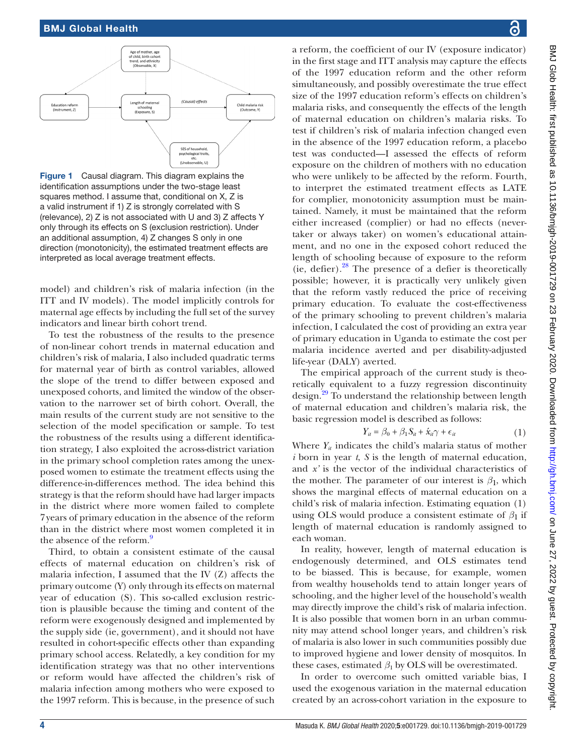

<span id="page-3-0"></span>Figure 1 Causal diagram. This diagram explains the identification assumptions under the two-stage least squares method. I assume that, conditional on X, Z is a valid instrument if 1) Z is strongly correlated with S (relevance), 2) Z is not associated with U and 3) Z affects Y only through its effects on S (exclusion restriction). Under an additional assumption, 4) Z changes S only in one direction (monotonicity), the estimated treatment effects are interpreted as local average treatment effects.

model) and children's risk of malaria infection (in the ITT and IV models). The model implicitly controls for maternal age effects by including the full set of the survey indicators and linear birth cohort trend.

To test the robustness of the results to the presence of non-linear cohort trends in maternal education and children's risk of malaria, I also included quadratic terms for maternal year of birth as control variables, allowed the slope of the trend to differ between exposed and unexposed cohorts, and limited the window of the observation to the narrower set of birth cohort. Overall, the main results of the current study are not sensitive to the selection of the model specification or sample. To test the robustness of the results using a different identification strategy, I also exploited the across-district variation in the primary school completion rates among the unexposed women to estimate the treatment effects using the difference-in-differences method. The idea behind this strategy is that the reform should have had larger impacts in the district where more women failed to complete 7years of primary education in the absence of the reform than in the district where most women completed it in the absence of the reform.<sup>9</sup>

Third, to obtain a consistent estimate of the causal effects of maternal education on children's risk of malaria infection, I assumed that the IV (Z) affects the primary outcome (Y) only through its effects on maternal year of education (S). This so-called exclusion restriction is plausible because the timing and content of the reform were exogenously designed and implemented by the supply side (ie, government), and it should not have resulted in cohort-specific effects other than expanding primary school access. Relatedly, a key condition for my identification strategy was that no other interventions or reform would have affected the children's risk of malaria infection among mothers who were exposed to the 1997 reform. This is because, in the presence of such

a reform, the coefficient of our IV (exposure indicator) in the first stage and ITT analysis may capture the effects of the 1997 education reform and the other reform simultaneously, and possibly overestimate the true effect size of the 1997 education reform's effects on children's malaria risks, and consequently the effects of the length of maternal education on children's malaria risks. To test if children's risk of malaria infection changed even in the absence of the 1997 education reform, a placebo test was conducted—I assessed the effects of reform exposure on the children of mothers with no education who were unlikely to be affected by the reform. Fourth, to interpret the estimated treatment effects as LATE for complier, monotonicity assumption must be maintained. Namely, it must be maintained that the reform either increased (complier) or had no effects (nevertaker or always taker) on women's educational attainment, and no one in the exposed cohort reduced the length of schooling because of exposure to the reform (ie, defier). $^{28}$  $^{28}$  $^{28}$  The presence of a defier is theoretically possible; however, it is practically very unlikely given that the reform vastly reduced the price of receiving primary education. To evaluate the cost-effectiveness of the primary schooling to prevent children's malaria infection, I calculated the cost of providing an extra year of primary education in Uganda to estimate the cost per malaria incidence averted and per disability-adjusted life-year (DALY) averted.

The empirical approach of the current study is theoretically equivalent to a fuzzy regression discontinuity design.<sup>29</sup> To understand the relationship between length of maternal education and children's malaria risk, the basic regression model is described as follows:

$$
Y_{it} = \beta_0 + \beta_1 S_{it} + \acute{x}_{it}\gamma + \epsilon_{it} \tag{1}
$$

Where  $Y_{it}$  indicates the child's malaria status of mother *i* born in year *t*, *S* is the length of maternal education, and *x'* is the vector of the individual characteristics of the mother. The parameter of our interest is  $\beta_1$ , which shows the marginal effects of maternal education on a child's risk of malaria infection. Estimating equation (1) using OLS would produce a consistent estimate of  $\beta_1$  if length of maternal education is randomly assigned to each woman.

In reality, however, length of maternal education is endogenously determined, and OLS estimates tend to be biassed. This is because, for example, women from wealthy households tend to attain longer years of schooling, and the higher level of the household's wealth may directly improve the child's risk of malaria infection. It is also possible that women born in an urban community may attend school longer years, and children's risk of malaria is also lower in such communities possibly due to improved hygiene and lower density of mosquitos. In these cases, estimated  $\beta_1$  by OLS will be overestimated.

In order to overcome such omitted variable bias, I used the exogenous variation in the maternal education created by an across-cohort variation in the exposure to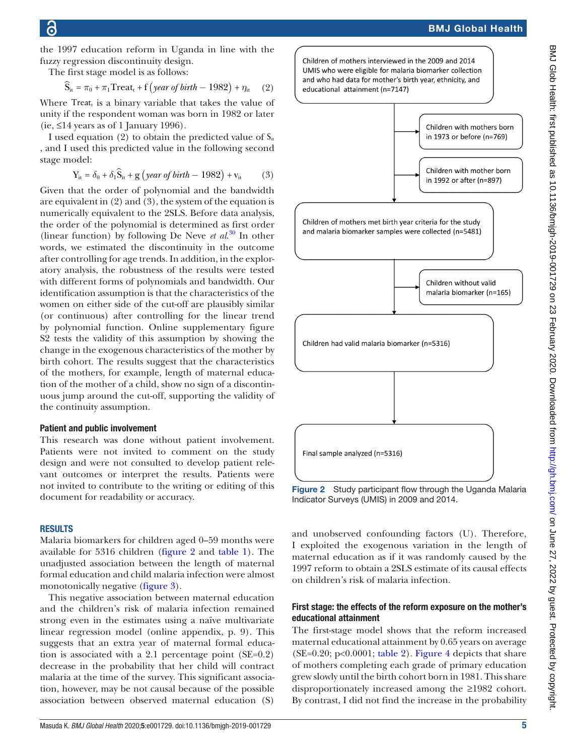the 1997 education reform in Uganda in line with the fuzzy regression discontinuity design.

The first stage model is as follows:

$$
\widehat{S}_{it} = \pi_0 + \pi_1 \text{Treat}_t + f\left(\text{year of birth} - 1982\right) + \eta_{it} \tag{2}
$$

Where Treat, is a binary variable that takes the value of unity if the respondent woman was born in 1982 or later (ie,  $\leq$ 14 years as of 1 January 1996).

I used equation (2) to obtain the predicted value of  $S_{it}$ , and I used this predicted value in the following second stage model:

$$
Y_{it} = \delta_0 + \delta_1 \hat{S}_{it} + g \left( \text{year of birth} - 1982 \right) + v_{it} \tag{3}
$$

Given that the order of polynomial and the bandwidth are equivalent in (2) and (3), the system of the equation is numerically equivalent to the 2SLS. Before data analysis, the order of the polynomial is determined as first order (linear function) by following De Neve *et al*. [30](#page-10-9) In other words, we estimated the discontinuity in the outcome after controlling for age trends. In addition, in the exploratory analysis, the robustness of the results were tested with different forms of polynomials and bandwidth. Our identification assumption is that the characteristics of the women on either side of the cut-off are plausibly similar (or continuous) after controlling for the linear trend by polynomial function. [Online supplementary figure](https://dx.doi.org/10.1136/bmjgh-2019-001729) [S2](https://dx.doi.org/10.1136/bmjgh-2019-001729) tests the validity of this assumption by showing the change in the exogenous characteristics of the mother by birth cohort. The results suggest that the characteristics of the mothers, for example, length of maternal education of the mother of a child, show no sign of a discontinuous jump around the cut-off, supporting the validity of the continuity assumption.

#### Patient and public involvement

This research was done without patient involvement. Patients were not invited to comment on the study design and were not consulted to develop patient relevant outcomes or interpret the results. Patients were not invited to contribute to the writing or editing of this document for readability or accuracy.

#### **RESULTS**

Malaria biomarkers for children aged 0–59 months were available for 5316 children [\(figure](#page-4-0) 2 and [table](#page-5-0) 1). The unadjusted association between the length of maternal formal education and child malaria infection were almost monotonically negative [\(figure](#page-5-1) 3).

This negative association between maternal education and the children's risk of malaria infection remained strong even in the estimates using a naïve multivariate linear regression model [\(online appendix](https://dx.doi.org/10.1136/bmjgh-2019-001729), p. 9). This suggests that an extra year of maternal formal education is associated with a 2.1 percentage point (SE=0.2) decrease in the probability that her child will contract malaria at the time of the survey. This significant association, however, may be not causal because of the possible association between observed maternal education (S)



BMJ Global Health

<span id="page-4-0"></span>Figure 2 Study participant flow through the Uganda Malaria Indicator Surveys (UMIS) in 2009 and 2014.

and unobserved confounding factors (U). Therefore, I exploited the exogenous variation in the length of maternal education as if it was randomly caused by the 1997 reform to obtain a 2SLS estimate of its causal effects on children's risk of malaria infection.

#### First stage: the effects of the reform exposure on the mother's educational attainment

The first-stage model shows that the reform increased maternal educational attainment by 0.65 years on average  $(SE=0.20; p<0.0001; table 2)$  $(SE=0.20; p<0.0001; table 2)$  $(SE=0.20; p<0.0001; table 2)$ . [Figure](#page-6-1) 4 depicts that share of mothers completing each grade of primary education grew slowly until the birth cohort born in 1981. This share disproportionately increased among the ≥1982 cohort. By contrast, I did not find the increase in the probability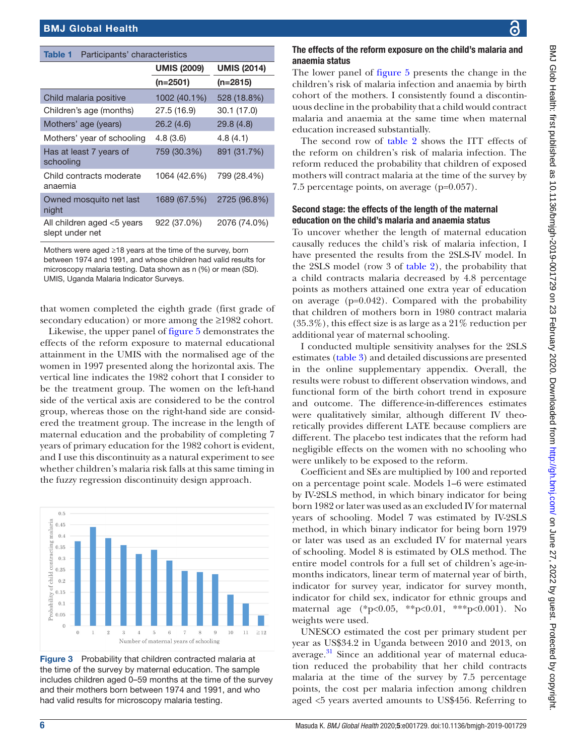<span id="page-5-0"></span>

| Table 1<br>Participants' characteristics      |                    |                    |  |  |  |
|-----------------------------------------------|--------------------|--------------------|--|--|--|
|                                               | <b>UMIS (2009)</b> | <b>UMIS (2014)</b> |  |  |  |
|                                               | (n=2501)           | (n=2815)           |  |  |  |
| Child malaria positive                        | 1002 (40.1%)       | 528 (18.8%)        |  |  |  |
| Children's age (months)                       | 27.5 (16.9)        | 30.1 (17.0)        |  |  |  |
| Mothers' age (years)                          | 26.2(4.6)          | 29.8(4.8)          |  |  |  |
| Mothers' year of schooling                    | 4.8 (3.6)          | 4.8(4.1)           |  |  |  |
| Has at least 7 years of<br>schooling          | 759 (30.3%)        | 891 (31.7%)        |  |  |  |
| Child contracts moderate<br>anaemia           | 1064 (42.6%)       | 799 (28.4%)        |  |  |  |
| Owned mosquito net last<br>night              | 1689 (67.5%)       | 2725 (96.8%)       |  |  |  |
| All children aged <5 years<br>slept under net | 922 (37.0%)        | 2076 (74.0%)       |  |  |  |

Mothers were aged ≥18 years at the time of the survey, born between 1974 and 1991, and whose children had valid results for microscopy malaria testing. Data shown as n (%) or mean (SD). UMIS, Uganda Malaria Indicator Surveys.

that women completed the eighth grade (first grade of secondary education) or more among the ≥1982 cohort.

Likewise, the upper panel of [figure](#page-7-0) 5 demonstrates the effects of the reform exposure to maternal educational attainment in the UMIS with the normalised age of the women in 1997 presented along the horizontal axis. The vertical line indicates the 1982 cohort that I consider to be the treatment group. The women on the left-hand side of the vertical axis are considered to be the control group, whereas those on the right-hand side are considered the treatment group. The increase in the length of maternal education and the probability of completing 7 years of primary education for the 1982 cohort is evident, and I use this discontinuity as a natural experiment to see whether children's malaria risk falls at this same timing in the fuzzy regression discontinuity design approach.



<span id="page-5-1"></span>Figure 3 Probability that children contracted malaria at the time of the survey by maternal education. The sample includes children aged 0–59 months at the time of the survey and their mothers born between 1974 and 1991, and who had valid results for microscopy malaria testing.

#### The effects of the reform exposure on the child's malaria and anaemia status

The lower panel of [figure](#page-7-0) 5 presents the change in the children's risk of malaria infection and anaemia by birth cohort of the mothers. I consistently found a discontinuous decline in the probability that a child would contract malaria and anaemia at the same time when maternal education increased substantially.

The second row of [table](#page-6-0) 2 shows the ITT effects of the reform on children's risk of malaria infection. The reform reduced the probability that children of exposed mothers will contract malaria at the time of the survey by 7.5 percentage points, on average (p=0.057).

# Second stage: the effects of the length of the maternal education on the child's malaria and anaemia status

To uncover whether the length of maternal education causally reduces the child's risk of malaria infection, I have presented the results from the 2SLS-IV model. In the 2SLS model (row 3 of [table](#page-6-0) 2), the probability that a child contracts malaria decreased by 4.8 percentage points as mothers attained one extra year of education on average (p=0.042). Compared with the probability that children of mothers born in 1980 contract malaria (35.3%), this effect size is as large as a 21% reduction per additional year of maternal schooling.

I conducted multiple sensitivity analyses for the 2SLS estimates [\(table](#page-7-1) 3) and detailed discussions are presented in the [online supplementary appendix.](https://dx.doi.org/10.1136/bmjgh-2019-001729) Overall, the results were robust to different observation windows, and functional form of the birth cohort trend in exposure and outcome. The difference-in-differences estimates were qualitatively similar, although different IV theoretically provides different LATE because compliers are different. The placebo test indicates that the reform had negligible effects on the women with no schooling who were unlikely to be exposed to the reform.

Coefficient and SEs are multiplied by 100 and reported on a percentage point scale. Models 1–6 were estimated by IV-2SLS method, in which binary indicator for being born 1982 or later was used as an excluded IV for maternal years of schooling. Model 7 was estimated by IV-2SLS method, in which binary indicator for being born 1979 or later was used as an excluded IV for maternal years of schooling. Model 8 is estimated by OLS method. The entire model controls for a full set of children's age-inmonths indicators, linear term of maternal year of birth, indicator for survey year, indicator for survey month, indicator for child sex, indicator for ethnic groups and maternal age (\*p<0.05, \*\*p<0.01, \*\*\*p<0.001). No weights were used.

UNESCO estimated the cost per primary student per year as US\$34.2 in Uganda between 2010 and 2013, on average.<sup>31</sup> Since an additional year of maternal education reduced the probability that her child contracts malaria at the time of the survey by 7.5 percentage points, the cost per malaria infection among children aged <5 years averted amounts to US\$456. Referring to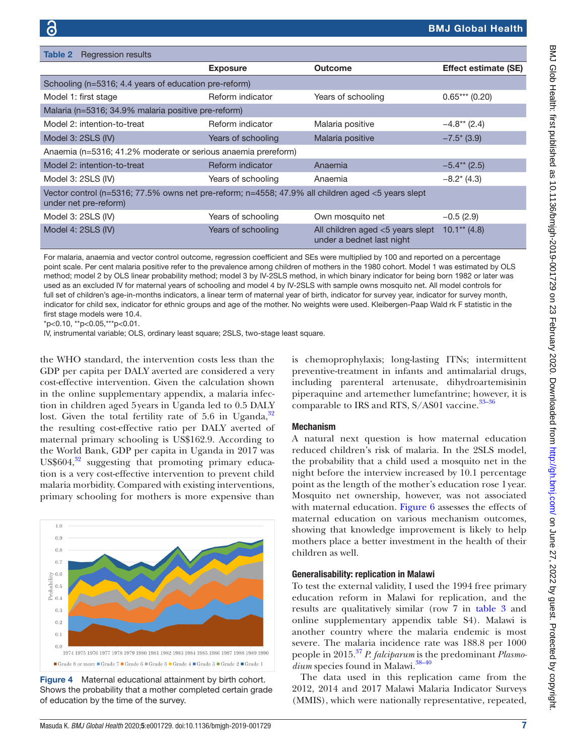<span id="page-6-0"></span>

| <b>Regression results</b><br>Table 2                                                                                       |                    |                                                               |                             |  |  |
|----------------------------------------------------------------------------------------------------------------------------|--------------------|---------------------------------------------------------------|-----------------------------|--|--|
|                                                                                                                            | <b>Exposure</b>    | <b>Outcome</b>                                                | <b>Effect estimate (SE)</b> |  |  |
| Schooling (n=5316; 4.4 years of education pre-reform)                                                                      |                    |                                                               |                             |  |  |
| Model 1: first stage                                                                                                       | Reform indicator   | Years of schooling                                            | $0.65***(0.20)$             |  |  |
| Malaria (n=5316; 34.9% malaria positive pre-reform)                                                                        |                    |                                                               |                             |  |  |
| Model 2: intention-to-treat                                                                                                | Reform indicator   | Malaria positive                                              | $-4.8**$ (2.4)              |  |  |
| Model 3: 2SLS (IV)                                                                                                         | Years of schooling | Malaria positive                                              | $-7.5$ * (3.9)              |  |  |
| Anaemia (n=5316; 41.2% moderate or serious anaemia prereform)                                                              |                    |                                                               |                             |  |  |
| Model 2: intention-to-treat                                                                                                | Reform indicator   | Anaemia                                                       | $-5.4**$ (2.5)              |  |  |
| Model 3: 2SLS (IV)                                                                                                         | Years of schooling | Anaemia                                                       | $-8.2^*(4.3)$               |  |  |
| Vector control (n=5316; 77.5% owns net pre-reform; n=4558; 47.9% all children aged <5 years slept<br>under net pre-reform) |                    |                                                               |                             |  |  |
| Model 3: 2SLS (IV)                                                                                                         | Years of schooling | Own mosquito net                                              | $-0.5(2.9)$                 |  |  |
| Model 4: 2SLS (IV)                                                                                                         | Years of schooling | All children aged <5 years slept<br>under a bednet last night | $10.1**$ (4.8)              |  |  |

For malaria, anaemia and vector control outcome, regression coefficient and SEs were multiplied by 100 and reported on a percentage point scale. Per cent malaria positive refer to the prevalence among children of mothers in the 1980 cohort. Model 1 was estimated by OLS method; model 2 by OLS linear probability method; model 3 by IV-2SLS method, in which binary indicator for being born 1982 or later was used as an excluded IV for maternal years of schooling and model 4 by IV-2SLS with sample owns mosquito net. All model controls for full set of children's age-in-months indicators, a linear term of maternal year of birth, indicator for survey year, indicator for survey month, indicator for child sex, indicator for ethnic groups and age of the mother. No weights were used. Kleibergen-Paap Wald rk F statistic in the first stage models were 10.4.

\*p<0.10, \*\*p<0.05,\*\*\*p<0.01.

IV, instrumental variable; OLS, ordinary least square; 2SLS, two-stage least square.

the WHO standard, the intervention costs less than the GDP per capita per DALY averted are considered a very cost-effective intervention. Given the calculation shown in the [online supplementary appendix,](https://dx.doi.org/10.1136/bmjgh-2019-001729) a malaria infection in children aged 5years in Uganda led to 0.5 DALY lost. Given the total fertility rate of 5.6 in Uganda, $32$ the resulting cost-effective ratio per DALY averted of maternal primary schooling is US\$162.9. According to the World Bank, GDP per capita in Uganda in 2017 was US\$604, $32$  suggesting that promoting primary education is a very cost-effective intervention to prevent child malaria morbidity. Compared with existing interventions, primary schooling for mothers is more expensive than



<span id="page-6-1"></span>Figure 4 Maternal educational attainment by birth cohort. Shows the probability that a mother completed certain grade of education by the time of the survey.

is chemoprophylaxis; long-lasting ITNs; intermittent preventive-treatment in infants and antimalarial drugs, including parenteral artenusate, dihydroartemisinin piperaquine and artemether lumefantrine; however, it is comparable to IRS and RTS,  $S/AS01$  vaccine.<sup>33–36</sup>

#### Mechanism

A natural next question is how maternal education reduced children's risk of malaria. In the 2SLS model, the probability that a child used a mosquito net in the night before the interview increased by 10.1 percentage point as the length of the mother's education rose 1year. Mosquito net ownership, however, was not associated with maternal education. [Figure](#page-7-2) 6 assesses the effects of maternal education on various mechanism outcomes, showing that knowledge improvement is likely to help mothers place a better investment in the health of their children as well.

#### Generalisability: replication in Malawi

To test the external validity, I used the 1994 free primary education reform in Malawi for replication, and the results are qualitatively similar (row 7 in [table](#page-7-1) 3 and [online supplementary appendix table S4](https://dx.doi.org/10.1136/bmjgh-2019-001729)). Malawi is another country where the malaria endemic is most severe. The malaria incidence rate was 188.8 per 1000 people in 2015.[37](#page-10-13) *P. falciparum* is the predominant *Plasmodium* species found in Malawi.<sup>38-40</sup>

The data used in this replication came from the 2012, 2014 and 2017 Malawi Malaria Indicator Surveys (MMIS), which were nationally representative, repeated,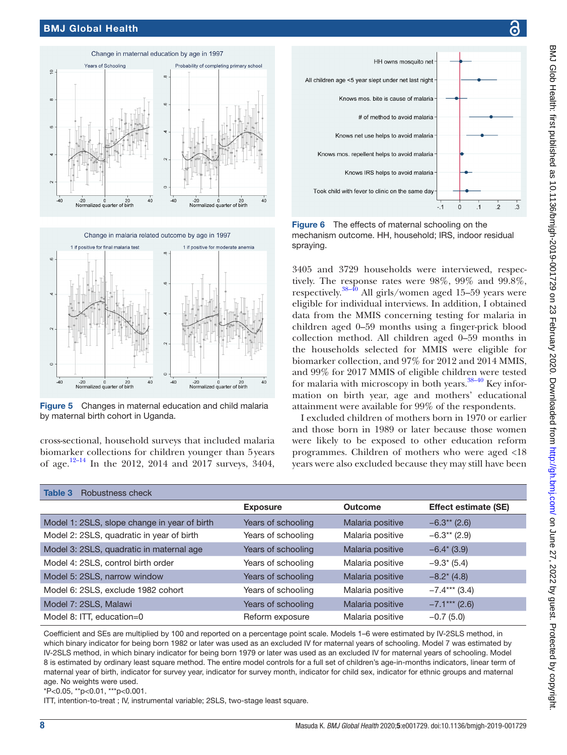



<span id="page-7-0"></span>Figure 5 Changes in maternal education and child malaria by maternal birth cohort in Uganda.

cross-sectional, household surveys that included malaria biomarker collections for children younger than 5years of age.<sup>12–14</sup> In the 2012, 2014 and 2017 surveys, 3404,



<span id="page-7-2"></span>Figure 6 The effects of maternal schooling on the mechanism outcome. HH, household; IRS, indoor residual spraying.

3405 and 3729 households were interviewed, respectively. The response rates were 98%, 99% and 99.8%, respectively[.38–40](#page-10-14) All girls/women aged 15–59 years were eligible for individual interviews. In addition, I obtained data from the MMIS concerning testing for malaria in children aged 0–59 months using a finger-prick blood collection method. All children aged 0–59 months in the households selected for MMIS were eligible for biomarker collection, and 97% for 2012 and 2014 MMIS, and 99% for 2017 MMIS of eligible children were tested for malaria with microscopy in both years. $38-40$  Key information on birth year, age and mothers' educational attainment were available for 99% of the respondents.

I excluded children of mothers born in 1970 or earlier and those born in 1989 or later because those women were likely to be exposed to other education reform programmes. Children of mothers who were aged <18 years were also excluded because they may still have been

<span id="page-7-1"></span>

| Robustness check<br>Table 3                  |                    |                  |                             |
|----------------------------------------------|--------------------|------------------|-----------------------------|
|                                              | <b>Exposure</b>    | <b>Outcome</b>   | <b>Effect estimate (SE)</b> |
| Model 1: 2SLS, slope change in year of birth | Years of schooling | Malaria positive | $-6.3**$ (2.6)              |
| Model 2: 2SLS, quadratic in year of birth    | Years of schooling | Malaria positive | $-6.3**$ (2.9)              |
| Model 3: 2SLS, quadratic in maternal age     | Years of schooling | Malaria positive | $-6.4*(3.9)$                |
| Model 4: 2SLS, control birth order           | Years of schooling | Malaria positive | $-9.3^{\ast}$ (5.4)         |
| Model 5: 2SLS, narrow window                 | Years of schooling | Malaria positive | $-8.2^*(4.8)$               |
| Model 6: 2SLS, exclude 1982 cohort           | Years of schooling | Malaria positive | $-7.4***$ (3.4)             |
| Model 7: 2SLS, Malawi                        | Years of schooling | Malaria positive | $-7.1***$ (2.6)             |
| Model 8: ITT, education=0                    | Reform exposure    | Malaria positive | $-0.7(5.0)$                 |

Coefficient and SEs are multiplied by 100 and reported on a percentage point scale. Models 1–6 were estimated by IV-2SLS method, in which binary indicator for being born 1982 or later was used as an excluded IV for maternal years of schooling. Model 7 was estimated by IV-2SLS method, in which binary indicator for being born 1979 or later was used as an excluded IV for maternal years of schooling. Model 8 is estimated by ordinary least square method. The entire model controls for a full set of children's age-in-months indicators, linear term of maternal year of birth, indicator for survey year, indicator for survey month, indicator for child sex, indicator for ethnic groups and maternal age. No weights were used.

\*P<0.05, \*\*p<0.01, \*\*\*p<0.001.

ITT, intention-to-treat ; IV, instrumental variable; 2SLS, two-stage least square.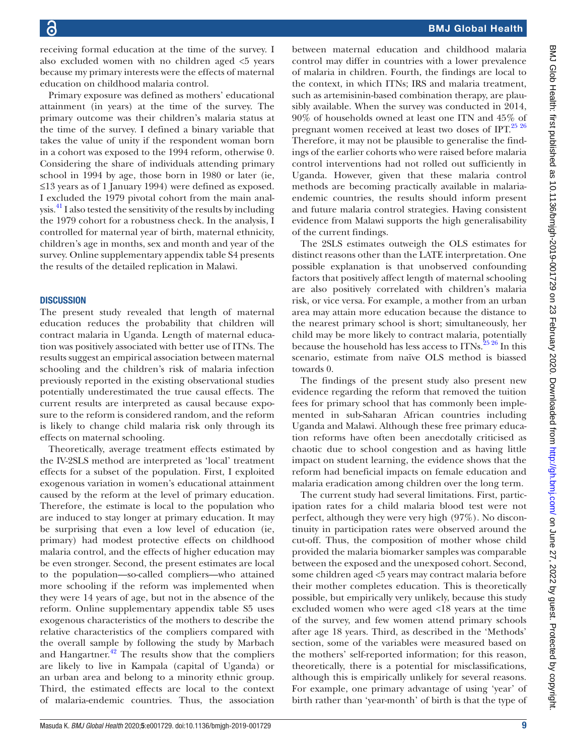receiving formal education at the time of the survey. I also excluded women with no children aged <5 years because my primary interests were the effects of maternal education on childhood malaria control.

Primary exposure was defined as mothers' educational attainment (in years) at the time of the survey. The primary outcome was their children's malaria status at the time of the survey. I defined a binary variable that takes the value of unity if the respondent woman born in a cohort was exposed to the 1994 reform, otherwise 0. Considering the share of individuals attending primary school in 1994 by age, those born in 1980 or later (ie, ≤13 years as of 1 January 1994) were defined as exposed. I excluded the 1979 pivotal cohort from the main analysis.[41](#page-10-15) I also tested the sensitivity of the results by including the 1979 cohort for a robustness check. In the analysis, I controlled for maternal year of birth, maternal ethnicity, children's age in months, sex and month and year of the survey. [Online supplementary appendix table S4](https://dx.doi.org/10.1136/bmjgh-2019-001729) presents the results of the detailed replication in Malawi.

#### **DISCUSSION**

The present study revealed that length of maternal education reduces the probability that children will contract malaria in Uganda. Length of maternal education was positively associated with better use of ITNs. The results suggest an empirical association between maternal schooling and the children's risk of malaria infection previously reported in the existing observational studies potentially underestimated the true causal effects. The current results are interpreted as causal because exposure to the reform is considered random, and the reform is likely to change child malaria risk only through its effects on maternal schooling.

Theoretically, average treatment effects estimated by the IV-2SLS method are interpreted as 'local' treatment effects for a subset of the population. First, I exploited exogenous variation in women's educational attainment caused by the reform at the level of primary education. Therefore, the estimate is local to the population who are induced to stay longer at primary education. It may be surprising that even a low level of education (ie, primary) had modest protective effects on childhood malaria control, and the effects of higher education may be even stronger. Second, the present estimates are local to the population—so-called compliers—who attained more schooling if the reform was implemented when they were 14 years of age, but not in the absence of the reform. [Online supplementary appendix table S5](https://dx.doi.org/10.1136/bmjgh-2019-001729) uses exogenous characteristics of the mothers to describe the relative characteristics of the compliers compared with the overall sample by following the study by Marbach and Hangartner.<sup>42</sup> The results show that the compliers are likely to live in Kampala (capital of Uganda) or an urban area and belong to a minority ethnic group. Third, the estimated effects are local to the context of malaria-endemic countries. Thus, the association

between maternal education and childhood malaria control may differ in countries with a lower prevalence of malaria in children. Fourth, the findings are local to the context, in which ITNs; IRS and malaria treatment, such as artemisinin-based combination therapy, are plausibly available. When the survey was conducted in 2014, 90% of households owned at least one ITN and 45% of pregnant women received at least two doses of IPT. $^{25\,26}$ Therefore, it may not be plausible to generalise the findings of the earlier cohorts who were raised before malaria control interventions had not rolled out sufficiently in Uganda. However, given that these malaria control methods are becoming practically available in malariaendemic countries, the results should inform present and future malaria control strategies. Having consistent evidence from Malawi supports the high generalisability of the current findings.

The 2SLS estimates outweigh the OLS estimates for distinct reasons other than the LATE interpretation. One possible explanation is that unobserved confounding factors that positively affect length of maternal schooling are also positively correlated with children's malaria risk, or vice versa. For example, a mother from an urban area may attain more education because the distance to the nearest primary school is short; simultaneously, her child may be more likely to contract malaria, potentially because the household has less access to ITNs.<sup>[25 26](#page-10-5)</sup> In this scenario, estimate from naïve OLS method is biassed towards 0.

The findings of the present study also present new evidence regarding the reform that removed the tuition fees for primary school that has commonly been implemented in sub-Saharan African countries including Uganda and Malawi. Although these free primary education reforms have often been anecdotally criticised as chaotic due to school congestion and as having little impact on student learning, the evidence shows that the reform had beneficial impacts on female education and malaria eradication among children over the long term.

The current study had several limitations. First, participation rates for a child malaria blood test were not perfect, although they were very high (97%). No discontinuity in participation rates were observed around the cut-off. Thus, the composition of mother whose child provided the malaria biomarker samples was comparable between the exposed and the unexposed cohort. Second, some children aged <5 years may contract malaria before their mother completes education. This is theoretically possible, but empirically very unlikely, because this study excluded women who were aged <18 years at the time of the survey, and few women attend primary schools after age 18 years. Third, as described in the 'Methods' section, some of the variables were measured based on the mothers' self-reported information; for this reason, theoretically, there is a potential for misclassifications, although this is empirically unlikely for several reasons. For example, one primary advantage of using 'year' of birth rather than 'year-month' of birth is that the type of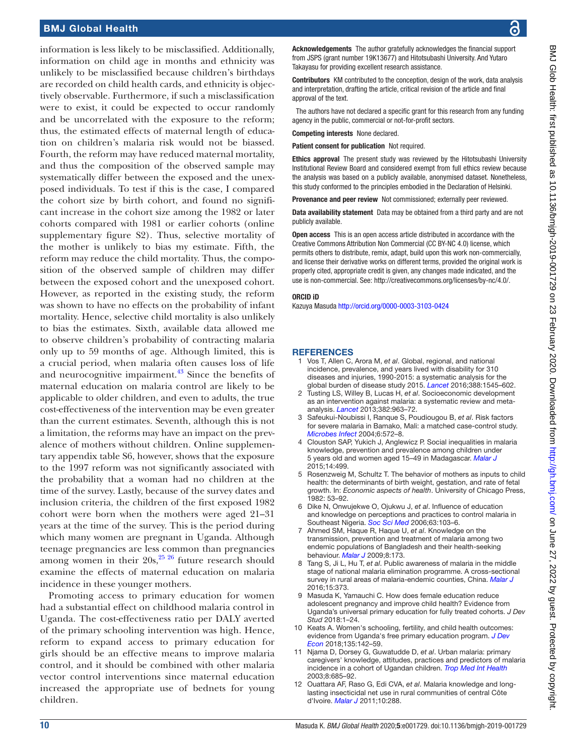information is less likely to be misclassified. Additionally, information on child age in months and ethnicity was unlikely to be misclassified because children's birthdays are recorded on child health cards, and ethnicity is objectively observable. Furthermore, if such a misclassification were to exist, it could be expected to occur randomly and be uncorrelated with the exposure to the reform; thus, the estimated effects of maternal length of education on children's malaria risk would not be biassed. Fourth, the reform may have reduced maternal mortality, and thus the composition of the observed sample may systematically differ between the exposed and the unexposed individuals. To test if this is the case, I compared the cohort size by birth cohort, and found no significant increase in the cohort size among the 1982 or later cohorts compared with 1981 or earlier cohorts [\(online](https://dx.doi.org/10.1136/bmjgh-2019-001729)  [supplementary figure S2](https://dx.doi.org/10.1136/bmjgh-2019-001729)). Thus, selective mortality of the mother is unlikely to bias my estimate. Fifth, the reform may reduce the child mortality. Thus, the composition of the observed sample of children may differ between the exposed cohort and the unexposed cohort. However, as reported in the existing study, the reform was shown to have no effects on the probability of infant mortality. Hence, selective child mortality is also unlikely to bias the estimates. Sixth, available data allowed me to observe children's probability of contracting malaria only up to 59 months of age. Although limited, this is a crucial period, when malaria often causes loss of life and neurocognitive impairment. $43$  Since the benefits of maternal education on malaria control are likely to be applicable to older children, and even to adults, the true cost-effectiveness of the intervention may be even greater than the current estimates. Seventh, although this is not a limitation, the reforms may have an impact on the prevalence of mothers without children. [Online supplemen](https://dx.doi.org/10.1136/bmjgh-2019-001729)[tary appendix table S6](https://dx.doi.org/10.1136/bmjgh-2019-001729), however, shows that the exposure to the 1997 reform was not significantly associated with the probability that a woman had no children at the time of the survey. Lastly, because of the survey dates and inclusion criteria, the children of the first exposed 1982 cohort were born when the mothers were aged 21–31 years at the time of the survey. This is the period during which many women are pregnant in Uganda. Although teenage pregnancies are less common than pregnancies among women in their  $20s$ ,  $25\frac{26}{10}$  future research should examine the effects of maternal education on malaria incidence in these younger mothers.

Promoting access to primary education for women had a substantial effect on childhood malaria control in Uganda. The cost-effectiveness ratio per DALY averted of the primary schooling intervention was high. Hence, reform to expand access to primary education for girls should be an effective means to improve malaria control, and it should be combined with other malaria vector control interventions since maternal education increased the appropriate use of bednets for young children.

BMJ Glob Health: first published as 10.1136/bmjgh-2019-001729 on 23 February 2020. Downloaded from http://gh.bmj.com/ on June 27, 2022 by guest. Protected by copyright BMJ Glob Health: first published as 10.1136/bmjgh-2019-001729 on 22. February 2020. Downloaded from <http://gh.bmj.com/> on June 27, 2022 by guest. Protected by copyright

Acknowledgements The author gratefully acknowledges the financial support from JSPS (grant number 19K13677) and Hitotsubashi University. And Yutaro Takayasu for providing excellent research assistance.

Contributors KM contributed to the conception, design of the work, data analysis and interpretation, drafting the article, critical revision of the article and final approval of the text.

The authors have not declared a specific grant for this research from any funding agency in the public, commercial or not-for-profit sectors.

Competing interests None declared.

Patient consent for publication Not required.

Ethics approval The present study was reviewed by the Hitotsubashi University Institutional Review Board and considered exempt from full ethics review because the analysis was based on a publicly available, anonymised dataset. Nonetheless, this study conformed to the principles embodied in the Declaration of Helsinki.

Provenance and peer review Not commissioned; externally peer reviewed.

Data availability statement Data may be obtained from a third party and are not publicly available.

Open access This is an open access article distributed in accordance with the Creative Commons Attribution Non Commercial (CC BY-NC 4.0) license, which permits others to distribute, remix, adapt, build upon this work non-commercially, and license their derivative works on different terms, provided the original work is properly cited, appropriate credit is given, any changes made indicated, and the use is non-commercial. See: [http://creativecommons.org/licenses/by-nc/4.0/.](http://creativecommons.org/licenses/by-nc/4.0/)

#### ORCID iD

Kazuya Masuda <http://orcid.org/0000-0003-3103-0424>

#### **REFERENCES**

- <span id="page-9-0"></span>1 Vos T, Allen C, Arora M, *et al*. Global, regional, and national incidence, prevalence, and years lived with disability for 310 diseases and injuries, 1990-2015: a systematic analysis for the global burden of disease study 2015. *[Lancet](http://dx.doi.org/10.1016/S0140-6736(16)31678-6)* 2016;388:1545–602.
- <span id="page-9-1"></span>2 Tusting LS, Willey B, Lucas H, *et al*. Socioeconomic development as an intervention against malaria: a systematic review and metaanalysis. *[Lancet](http://dx.doi.org/10.1016/S0140-6736(13)60851-X)* 2013;382:963–72.
- 3 Safeukui-Noubissi I, Ranque S, Poudiougou B, *et al*. Risk factors for severe malaria in Bamako, Mali: a matched case-control study. *[Microbes Infect](http://dx.doi.org/10.1016/j.micinf.2004.02.007)* 2004;6:572–8.
- <span id="page-9-2"></span>4 Clouston SAP, Yukich J, Anglewicz P. Social inequalities in malaria knowledge, prevention and prevalence among children under 5 years old and women aged 15–49 in Madagascar. *[Malar J](http://dx.doi.org/10.1186/s12936-015-1010-y)* 2015;14:499.
- 5 Rosenzweig M, Schultz T. The behavior of mothers as inputs to child health: the determinants of birth weight, gestation, and rate of fetal growth. In: *Economic aspects of health*. University of Chicago Press, 1982: 53–92.
- <span id="page-9-4"></span>6 Dike N, Onwujekwe O, Ojukwu J, *et al*. Influence of education and knowledge on perceptions and practices to control malaria in Southeast Nigeria. *[Soc Sci Med](http://dx.doi.org/10.1016/j.socscimed.2005.11.061)* 2006;63:103–6.
- 7 Ahmed SM, Haque R, Haque U, *et al*. Knowledge on the transmission, prevention and treatment of malaria among two endemic populations of Bangladesh and their health-seeking behaviour. *[Malar J](http://dx.doi.org/10.1186/1475-2875-8-173)* 2009;8:173.
- Tang S, Ji L, Hu T, et al. Public awareness of malaria in the middle stage of national malaria elimination programme. A cross-sectional survey in rural areas of malaria-endemic counties, China. *[Malar J](http://dx.doi.org/10.1186/s12936-016-1428-x)* 2016;15:373.
- <span id="page-9-3"></span>9 Masuda K, Yamauchi C. How does female education reduce adolescent pregnancy and improve child health? Evidence from Uganda's universal primary education for fully treated cohorts. *J Dev Stud* 2018:1–24.
- <span id="page-9-5"></span>10 Keats A. Women's schooling, fertility, and child health outcomes: evidence from Uganda's free primary education program. *[J Dev](http://dx.doi.org/10.1016/j.jdeveco.2018.07.002)  [Econ](http://dx.doi.org/10.1016/j.jdeveco.2018.07.002)* 2018;135:142–59.
- 11 Njama D, Dorsey G, Guwatudde D, *et al*. Urban malaria: primary caregivers' knowledge, attitudes, practices and predictors of malaria incidence in a cohort of Ugandan children. *[Trop Med Int Health](http://dx.doi.org/10.1046/j.1365-3156.2003.01060.x)* 2003;8:685–92.
- <span id="page-9-6"></span>12 Ouattara AF, Raso G, Edi CVA, *et al*. Malaria knowledge and longlasting insecticidal net use in rural communities of central Côte d'Ivoire. *[Malar J](http://dx.doi.org/10.1186/1475-2875-10-288)* 2011;10:288.